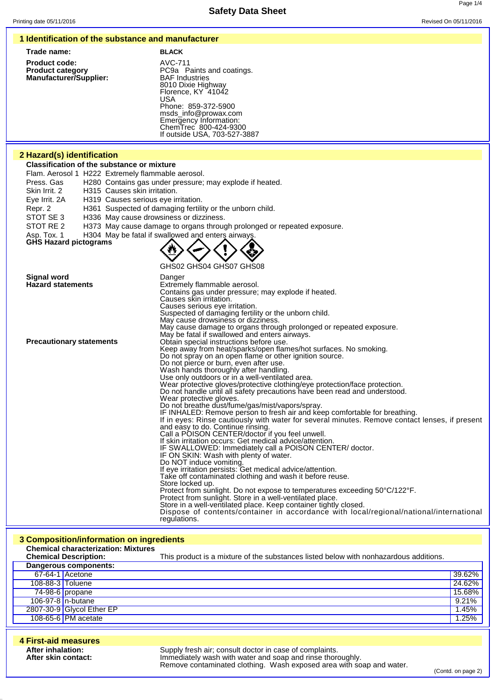### **1 Identification of the substance and manufacturer**

| Trade name:                                                                      | <b>BLACK</b>                                                                                                                            |
|----------------------------------------------------------------------------------|-----------------------------------------------------------------------------------------------------------------------------------------|
| <b>Product code:</b><br><b>Product category</b><br><b>Manufacturer/Supplier:</b> | AVC-711<br>PC9a Paints and coatings.<br><b>BAF Industries</b><br>8010 Dixie Highway<br>Florence, KY 41042<br>USA<br>Phone: 859-372-5900 |

# **2 Hazard(s) identification**

**Classification of the substance or mixture**

Flam. Aerosol 1 H222 Extremely flammable aerosol.

Press. Gas H280 Contains gas under pressure; may explode if heated.

Skin Irrit. 2 H315 Causes skin irritation.

Eye Irrit. 2A H319 Causes serious eye irritation.

- Repr. 2 H361 Suspected of damaging fertility or the unborn child.<br>STOT SE 3 H336 May cause drowsiness or dizziness.
- H336 May cause drowsiness or dizziness.
- STOT RE 2 H373 May cause damage to organs through prolonged or repeated exposure.

Asp. Tox. 1 H304 May be fatal if swallowed and enters airways

```
GHS Hazard pictograms
```


msds\_info@prowax.com Emergency Information: ChemTrec 800-424-9300 If outside USA, 703-527-3887

GHS02 GHS04 GHS07 GHS08

| Signal word                     | Danger                                                                                         |
|---------------------------------|------------------------------------------------------------------------------------------------|
| <b>Hazard statements</b>        | Extremely flammable aerosol.                                                                   |
|                                 | Contains gas under pressure; may explode if heated.                                            |
|                                 | Causes skin irritation.                                                                        |
|                                 | Causes serious eye irritation.                                                                 |
|                                 | Suspected of damaging fertility or the unborn child.                                           |
|                                 | May cause drowsiness or dizziness.                                                             |
|                                 | May cause damage to organs through prolonged or repeated exposure.                             |
|                                 | May be fatal if swallowed and enters airways.                                                  |
| <b>Precautionary statements</b> | Obtain special instructions before use.                                                        |
|                                 | Keep away from heat/sparks/open flames/hot surfaces. No smoking.                               |
|                                 | Do not spray on an open flame or other ignition source.                                        |
|                                 | Do not pierce or burn, even after use.                                                         |
|                                 | Wash hands thoroughly after handling.                                                          |
|                                 | Use only outdoors or in a well-ventilated area.                                                |
|                                 | Wear protective gloves/protective clothing/eye protection/face protection.                     |
|                                 | Do not handle until all safety precautions have been read and understood.                      |
|                                 | Wear protective gloves.                                                                        |
|                                 | Do not breathe dust/fume/gas/mist/vapors/spray.                                                |
|                                 | IF INHALED: Remove person to fresh air and keep comfortable for breathing.                     |
|                                 | If in eyes: Rinse cautiously with water for several minutes. Remove contact lenses, if present |
|                                 | and easy to do. Continue rinsing.                                                              |
|                                 | Call a POISON CENTER/doctor if you feel unwell.                                                |
|                                 | If skin irritation occurs: Get medical advice/attention.                                       |
|                                 | IF SWALLOWED: Immediately call a POISON CENTER/ doctor.                                        |
|                                 | IF ON SKIN: Wash with plenty of water.                                                         |
|                                 | Do NOT induce vomiting.                                                                        |
|                                 | If eye irritation persists: Get medical advice/attention.                                      |
|                                 | Take off contaminated clothing and wash it before reuse.                                       |
|                                 | Store locked up.                                                                               |
|                                 | Protect from sunlight. Do not expose to temperatures exceeding 50°C/122°F.                     |
|                                 | Protect from sunlight. Store in a well-ventilated place.                                       |
|                                 | Store in a well-ventilated place. Keep container tightly closed.                               |
|                                 | Dispose of contents/container in accordance with local/regional/national/international         |
|                                 | regulations.                                                                                   |

### **3 Composition/information on ingredients Chemical characterization: Mixtures**

|                  | <b>Chemical Description:</b> | This product is a mixture of the substances listed below with nonhazardous additions. |        |
|------------------|------------------------------|---------------------------------------------------------------------------------------|--------|
|                  | Dangerous components:        |                                                                                       |        |
|                  | 67-64-1 Acetone              |                                                                                       | 39.62% |
| 108-88-3 Toluene |                              |                                                                                       | 24.62% |
|                  | $74-98-6$ propane            |                                                                                       | 15.68% |
|                  | 106-97-8 $n$ -butane         |                                                                                       | 9.21%  |
|                  | 2807-30-9 Glycol Ether EP    |                                                                                       | 1.45%  |
|                  | 108-65-6 PM acetate          |                                                                                       | 1.25%  |

| 4 First-aid measures                     |                                                                                                                                                                                               |
|------------------------------------------|-----------------------------------------------------------------------------------------------------------------------------------------------------------------------------------------------|
| After inhalation:<br>After skin contact: | Supply fresh air; consult doctor in case of complaints.<br>Immediately wash with water and soap and rinse thoroughly.<br>Remove contaminated clothing. Wash exposed area with soap and water. |

(Contd. on page 2)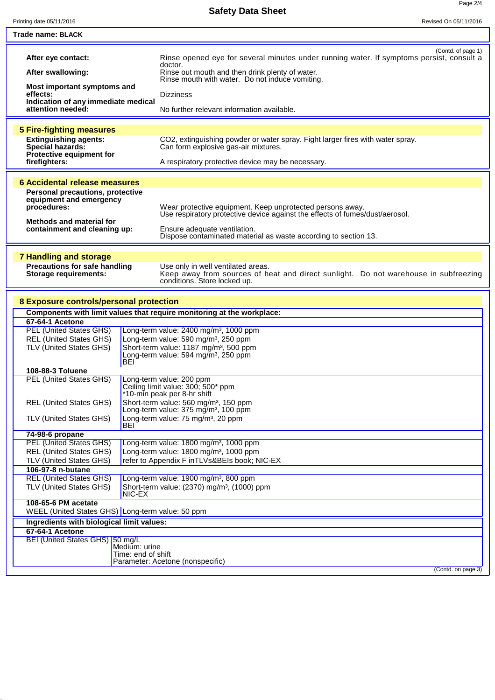Page 2/4

**Safety Data Sheet**

| Trade name: BLACK<br>(Contd. of page 1)<br>Rinse opened eye for several minutes under running water. If symptoms persist, consult a<br>After eye contact:<br>doctor.<br>After swallowing:<br>Rinse out mouth and then drink plenty of water.<br>Rinse mouth with water. Do not induce vomiting.<br>Most important symptoms and<br>effects:<br><b>Dizziness</b><br>Indication of any immediate medical<br>attention needed:<br>No further relevant information available.<br><b>5 Fire-fighting measures</b><br>CO2, extinguishing powder or water spray. Fight larger fires with water spray.<br><b>Extinguishing agents:</b><br>Can form explosive gas-air mixtures.<br><b>Special hazards:</b><br>Protective equipment for<br>firefighters:<br>A respiratory protective device may be necessary.<br><b>6 Accidental release measures</b><br><b>Personal precautions, protective</b><br>equipment and emergency<br>procedures:<br>Wear protective equipment. Keep unprotected persons away.<br>Use respiratory protective device against the effects of fumes/dust/aerosol.<br><b>Methods and material for</b><br>containment and cleaning up:<br>Ensure adequate ventilation.<br>Dispose contaminated material as waste according to section 13.<br><b>7 Handling and storage</b><br><b>Precautions for safe handling</b><br>Use only in well ventilated areas.<br>Keep away from sources of heat and direct sunlight. Do not warehouse in subfreezing<br><b>Storage requirements:</b><br>conditions. Store locked up.<br>8 Exposure controls/personal protection<br>Components with limit values that require monitoring at the workplace:<br>67-64-1 Acetone<br><b>PEL (United States GHS)</b><br>Long-term value: 2400 mg/m <sup>3</sup> , 1000 ppm<br><b>REL (United States GHS)</b><br>Long-term value: 590 mg/m <sup>3</sup> , 250 ppm<br>TLV (United States GHS)<br>Short-term value: 1187 mg/m <sup>3</sup> , 500 ppm<br>Long-term value: 594 mg/m <sup>3</sup> , 250 ppm<br>BEI<br>108-88-3 Toluene<br><b>PEL (United States GHS)</b><br>Long-term value: 200 ppm<br>Ceiling limit value: 300; 500* ppm<br>*10-min peak per 8-hr shift<br>Short-term value: 560 mg/m <sup>3</sup> , 150 ppm<br><b>REL (United States GHS)</b><br>Long-term value: 375 mg/m <sup>3</sup> , 100 ppm<br>TLV (United States GHS)<br>Long-term value: 75 mg/m <sup>3</sup> , 20 ppm<br>BEI<br>74-98-6 propane<br><b>PEL (United States GHS)</b><br>Long-term value: 1800 mg/m <sup>3</sup> , 1000 ppm<br><b>REL (United States GHS)</b><br>Long-term value: 1800 mg/m <sup>3</sup> , 1000 ppm<br>refer to Appendix F inTLVs&BEIs book; NIC-EX<br>TLV (United States GHS)<br>106-97-8 n-butane<br><b>REL (United States GHS)</b><br>Long-term value: 1900 mg/m <sup>3</sup> , 800 ppm<br>TLV (United States GHS)<br>Short-term value: (2370) mg/m <sup>3</sup> , (1000) ppm<br>NIC-EX<br>108-65-6 PM acetate<br>WEEL (United States GHS) Long-term value: 50 ppm<br>Ingredients with biological limit values:<br>67-64-1 Acetone<br>BEI (United States GHS) 50 mg/L<br>Medium: urine<br>Time: end of shift<br>Parameter: Acetone (nonspecific)<br>(Contd. on page 3) | Printing date 05/11/2016 | Revised On 05/11/2016 |
|-----------------------------------------------------------------------------------------------------------------------------------------------------------------------------------------------------------------------------------------------------------------------------------------------------------------------------------------------------------------------------------------------------------------------------------------------------------------------------------------------------------------------------------------------------------------------------------------------------------------------------------------------------------------------------------------------------------------------------------------------------------------------------------------------------------------------------------------------------------------------------------------------------------------------------------------------------------------------------------------------------------------------------------------------------------------------------------------------------------------------------------------------------------------------------------------------------------------------------------------------------------------------------------------------------------------------------------------------------------------------------------------------------------------------------------------------------------------------------------------------------------------------------------------------------------------------------------------------------------------------------------------------------------------------------------------------------------------------------------------------------------------------------------------------------------------------------------------------------------------------------------------------------------------------------------------------------------------------------------------------------------------------------------------------------------------------------------------------------------------------------------------------------------------------------------------------------------------------------------------------------------------------------------------------------------------------------------------------------------------------------------------------------------------------------------------------------------------------------------------------------------------------------------------------------------------------------------------------------------------------------------------------------------------------------------------------------------------------------------------------------------------------------------------------------------------------------------------------------------------------------------------------------------------------------------------------------------------------------------------------------------------------------------------------------------------------------------------------------------------------------------------------------------|--------------------------|-----------------------|
|                                                                                                                                                                                                                                                                                                                                                                                                                                                                                                                                                                                                                                                                                                                                                                                                                                                                                                                                                                                                                                                                                                                                                                                                                                                                                                                                                                                                                                                                                                                                                                                                                                                                                                                                                                                                                                                                                                                                                                                                                                                                                                                                                                                                                                                                                                                                                                                                                                                                                                                                                                                                                                                                                                                                                                                                                                                                                                                                                                                                                                                                                                                                                           |                          |                       |
|                                                                                                                                                                                                                                                                                                                                                                                                                                                                                                                                                                                                                                                                                                                                                                                                                                                                                                                                                                                                                                                                                                                                                                                                                                                                                                                                                                                                                                                                                                                                                                                                                                                                                                                                                                                                                                                                                                                                                                                                                                                                                                                                                                                                                                                                                                                                                                                                                                                                                                                                                                                                                                                                                                                                                                                                                                                                                                                                                                                                                                                                                                                                                           |                          |                       |
|                                                                                                                                                                                                                                                                                                                                                                                                                                                                                                                                                                                                                                                                                                                                                                                                                                                                                                                                                                                                                                                                                                                                                                                                                                                                                                                                                                                                                                                                                                                                                                                                                                                                                                                                                                                                                                                                                                                                                                                                                                                                                                                                                                                                                                                                                                                                                                                                                                                                                                                                                                                                                                                                                                                                                                                                                                                                                                                                                                                                                                                                                                                                                           |                          |                       |
|                                                                                                                                                                                                                                                                                                                                                                                                                                                                                                                                                                                                                                                                                                                                                                                                                                                                                                                                                                                                                                                                                                                                                                                                                                                                                                                                                                                                                                                                                                                                                                                                                                                                                                                                                                                                                                                                                                                                                                                                                                                                                                                                                                                                                                                                                                                                                                                                                                                                                                                                                                                                                                                                                                                                                                                                                                                                                                                                                                                                                                                                                                                                                           |                          |                       |
|                                                                                                                                                                                                                                                                                                                                                                                                                                                                                                                                                                                                                                                                                                                                                                                                                                                                                                                                                                                                                                                                                                                                                                                                                                                                                                                                                                                                                                                                                                                                                                                                                                                                                                                                                                                                                                                                                                                                                                                                                                                                                                                                                                                                                                                                                                                                                                                                                                                                                                                                                                                                                                                                                                                                                                                                                                                                                                                                                                                                                                                                                                                                                           |                          |                       |
|                                                                                                                                                                                                                                                                                                                                                                                                                                                                                                                                                                                                                                                                                                                                                                                                                                                                                                                                                                                                                                                                                                                                                                                                                                                                                                                                                                                                                                                                                                                                                                                                                                                                                                                                                                                                                                                                                                                                                                                                                                                                                                                                                                                                                                                                                                                                                                                                                                                                                                                                                                                                                                                                                                                                                                                                                                                                                                                                                                                                                                                                                                                                                           |                          |                       |
|                                                                                                                                                                                                                                                                                                                                                                                                                                                                                                                                                                                                                                                                                                                                                                                                                                                                                                                                                                                                                                                                                                                                                                                                                                                                                                                                                                                                                                                                                                                                                                                                                                                                                                                                                                                                                                                                                                                                                                                                                                                                                                                                                                                                                                                                                                                                                                                                                                                                                                                                                                                                                                                                                                                                                                                                                                                                                                                                                                                                                                                                                                                                                           |                          |                       |
|                                                                                                                                                                                                                                                                                                                                                                                                                                                                                                                                                                                                                                                                                                                                                                                                                                                                                                                                                                                                                                                                                                                                                                                                                                                                                                                                                                                                                                                                                                                                                                                                                                                                                                                                                                                                                                                                                                                                                                                                                                                                                                                                                                                                                                                                                                                                                                                                                                                                                                                                                                                                                                                                                                                                                                                                                                                                                                                                                                                                                                                                                                                                                           |                          |                       |
|                                                                                                                                                                                                                                                                                                                                                                                                                                                                                                                                                                                                                                                                                                                                                                                                                                                                                                                                                                                                                                                                                                                                                                                                                                                                                                                                                                                                                                                                                                                                                                                                                                                                                                                                                                                                                                                                                                                                                                                                                                                                                                                                                                                                                                                                                                                                                                                                                                                                                                                                                                                                                                                                                                                                                                                                                                                                                                                                                                                                                                                                                                                                                           |                          |                       |
|                                                                                                                                                                                                                                                                                                                                                                                                                                                                                                                                                                                                                                                                                                                                                                                                                                                                                                                                                                                                                                                                                                                                                                                                                                                                                                                                                                                                                                                                                                                                                                                                                                                                                                                                                                                                                                                                                                                                                                                                                                                                                                                                                                                                                                                                                                                                                                                                                                                                                                                                                                                                                                                                                                                                                                                                                                                                                                                                                                                                                                                                                                                                                           |                          |                       |
|                                                                                                                                                                                                                                                                                                                                                                                                                                                                                                                                                                                                                                                                                                                                                                                                                                                                                                                                                                                                                                                                                                                                                                                                                                                                                                                                                                                                                                                                                                                                                                                                                                                                                                                                                                                                                                                                                                                                                                                                                                                                                                                                                                                                                                                                                                                                                                                                                                                                                                                                                                                                                                                                                                                                                                                                                                                                                                                                                                                                                                                                                                                                                           |                          |                       |
|                                                                                                                                                                                                                                                                                                                                                                                                                                                                                                                                                                                                                                                                                                                                                                                                                                                                                                                                                                                                                                                                                                                                                                                                                                                                                                                                                                                                                                                                                                                                                                                                                                                                                                                                                                                                                                                                                                                                                                                                                                                                                                                                                                                                                                                                                                                                                                                                                                                                                                                                                                                                                                                                                                                                                                                                                                                                                                                                                                                                                                                                                                                                                           |                          |                       |
|                                                                                                                                                                                                                                                                                                                                                                                                                                                                                                                                                                                                                                                                                                                                                                                                                                                                                                                                                                                                                                                                                                                                                                                                                                                                                                                                                                                                                                                                                                                                                                                                                                                                                                                                                                                                                                                                                                                                                                                                                                                                                                                                                                                                                                                                                                                                                                                                                                                                                                                                                                                                                                                                                                                                                                                                                                                                                                                                                                                                                                                                                                                                                           |                          |                       |
|                                                                                                                                                                                                                                                                                                                                                                                                                                                                                                                                                                                                                                                                                                                                                                                                                                                                                                                                                                                                                                                                                                                                                                                                                                                                                                                                                                                                                                                                                                                                                                                                                                                                                                                                                                                                                                                                                                                                                                                                                                                                                                                                                                                                                                                                                                                                                                                                                                                                                                                                                                                                                                                                                                                                                                                                                                                                                                                                                                                                                                                                                                                                                           |                          |                       |
|                                                                                                                                                                                                                                                                                                                                                                                                                                                                                                                                                                                                                                                                                                                                                                                                                                                                                                                                                                                                                                                                                                                                                                                                                                                                                                                                                                                                                                                                                                                                                                                                                                                                                                                                                                                                                                                                                                                                                                                                                                                                                                                                                                                                                                                                                                                                                                                                                                                                                                                                                                                                                                                                                                                                                                                                                                                                                                                                                                                                                                                                                                                                                           |                          |                       |
|                                                                                                                                                                                                                                                                                                                                                                                                                                                                                                                                                                                                                                                                                                                                                                                                                                                                                                                                                                                                                                                                                                                                                                                                                                                                                                                                                                                                                                                                                                                                                                                                                                                                                                                                                                                                                                                                                                                                                                                                                                                                                                                                                                                                                                                                                                                                                                                                                                                                                                                                                                                                                                                                                                                                                                                                                                                                                                                                                                                                                                                                                                                                                           |                          |                       |
|                                                                                                                                                                                                                                                                                                                                                                                                                                                                                                                                                                                                                                                                                                                                                                                                                                                                                                                                                                                                                                                                                                                                                                                                                                                                                                                                                                                                                                                                                                                                                                                                                                                                                                                                                                                                                                                                                                                                                                                                                                                                                                                                                                                                                                                                                                                                                                                                                                                                                                                                                                                                                                                                                                                                                                                                                                                                                                                                                                                                                                                                                                                                                           |                          |                       |
|                                                                                                                                                                                                                                                                                                                                                                                                                                                                                                                                                                                                                                                                                                                                                                                                                                                                                                                                                                                                                                                                                                                                                                                                                                                                                                                                                                                                                                                                                                                                                                                                                                                                                                                                                                                                                                                                                                                                                                                                                                                                                                                                                                                                                                                                                                                                                                                                                                                                                                                                                                                                                                                                                                                                                                                                                                                                                                                                                                                                                                                                                                                                                           |                          |                       |
|                                                                                                                                                                                                                                                                                                                                                                                                                                                                                                                                                                                                                                                                                                                                                                                                                                                                                                                                                                                                                                                                                                                                                                                                                                                                                                                                                                                                                                                                                                                                                                                                                                                                                                                                                                                                                                                                                                                                                                                                                                                                                                                                                                                                                                                                                                                                                                                                                                                                                                                                                                                                                                                                                                                                                                                                                                                                                                                                                                                                                                                                                                                                                           |                          |                       |
|                                                                                                                                                                                                                                                                                                                                                                                                                                                                                                                                                                                                                                                                                                                                                                                                                                                                                                                                                                                                                                                                                                                                                                                                                                                                                                                                                                                                                                                                                                                                                                                                                                                                                                                                                                                                                                                                                                                                                                                                                                                                                                                                                                                                                                                                                                                                                                                                                                                                                                                                                                                                                                                                                                                                                                                                                                                                                                                                                                                                                                                                                                                                                           |                          |                       |
|                                                                                                                                                                                                                                                                                                                                                                                                                                                                                                                                                                                                                                                                                                                                                                                                                                                                                                                                                                                                                                                                                                                                                                                                                                                                                                                                                                                                                                                                                                                                                                                                                                                                                                                                                                                                                                                                                                                                                                                                                                                                                                                                                                                                                                                                                                                                                                                                                                                                                                                                                                                                                                                                                                                                                                                                                                                                                                                                                                                                                                                                                                                                                           |                          |                       |
|                                                                                                                                                                                                                                                                                                                                                                                                                                                                                                                                                                                                                                                                                                                                                                                                                                                                                                                                                                                                                                                                                                                                                                                                                                                                                                                                                                                                                                                                                                                                                                                                                                                                                                                                                                                                                                                                                                                                                                                                                                                                                                                                                                                                                                                                                                                                                                                                                                                                                                                                                                                                                                                                                                                                                                                                                                                                                                                                                                                                                                                                                                                                                           |                          |                       |
|                                                                                                                                                                                                                                                                                                                                                                                                                                                                                                                                                                                                                                                                                                                                                                                                                                                                                                                                                                                                                                                                                                                                                                                                                                                                                                                                                                                                                                                                                                                                                                                                                                                                                                                                                                                                                                                                                                                                                                                                                                                                                                                                                                                                                                                                                                                                                                                                                                                                                                                                                                                                                                                                                                                                                                                                                                                                                                                                                                                                                                                                                                                                                           |                          |                       |
|                                                                                                                                                                                                                                                                                                                                                                                                                                                                                                                                                                                                                                                                                                                                                                                                                                                                                                                                                                                                                                                                                                                                                                                                                                                                                                                                                                                                                                                                                                                                                                                                                                                                                                                                                                                                                                                                                                                                                                                                                                                                                                                                                                                                                                                                                                                                                                                                                                                                                                                                                                                                                                                                                                                                                                                                                                                                                                                                                                                                                                                                                                                                                           |                          |                       |
|                                                                                                                                                                                                                                                                                                                                                                                                                                                                                                                                                                                                                                                                                                                                                                                                                                                                                                                                                                                                                                                                                                                                                                                                                                                                                                                                                                                                                                                                                                                                                                                                                                                                                                                                                                                                                                                                                                                                                                                                                                                                                                                                                                                                                                                                                                                                                                                                                                                                                                                                                                                                                                                                                                                                                                                                                                                                                                                                                                                                                                                                                                                                                           |                          |                       |
|                                                                                                                                                                                                                                                                                                                                                                                                                                                                                                                                                                                                                                                                                                                                                                                                                                                                                                                                                                                                                                                                                                                                                                                                                                                                                                                                                                                                                                                                                                                                                                                                                                                                                                                                                                                                                                                                                                                                                                                                                                                                                                                                                                                                                                                                                                                                                                                                                                                                                                                                                                                                                                                                                                                                                                                                                                                                                                                                                                                                                                                                                                                                                           |                          |                       |
|                                                                                                                                                                                                                                                                                                                                                                                                                                                                                                                                                                                                                                                                                                                                                                                                                                                                                                                                                                                                                                                                                                                                                                                                                                                                                                                                                                                                                                                                                                                                                                                                                                                                                                                                                                                                                                                                                                                                                                                                                                                                                                                                                                                                                                                                                                                                                                                                                                                                                                                                                                                                                                                                                                                                                                                                                                                                                                                                                                                                                                                                                                                                                           |                          |                       |
|                                                                                                                                                                                                                                                                                                                                                                                                                                                                                                                                                                                                                                                                                                                                                                                                                                                                                                                                                                                                                                                                                                                                                                                                                                                                                                                                                                                                                                                                                                                                                                                                                                                                                                                                                                                                                                                                                                                                                                                                                                                                                                                                                                                                                                                                                                                                                                                                                                                                                                                                                                                                                                                                                                                                                                                                                                                                                                                                                                                                                                                                                                                                                           |                          |                       |
|                                                                                                                                                                                                                                                                                                                                                                                                                                                                                                                                                                                                                                                                                                                                                                                                                                                                                                                                                                                                                                                                                                                                                                                                                                                                                                                                                                                                                                                                                                                                                                                                                                                                                                                                                                                                                                                                                                                                                                                                                                                                                                                                                                                                                                                                                                                                                                                                                                                                                                                                                                                                                                                                                                                                                                                                                                                                                                                                                                                                                                                                                                                                                           |                          |                       |
|                                                                                                                                                                                                                                                                                                                                                                                                                                                                                                                                                                                                                                                                                                                                                                                                                                                                                                                                                                                                                                                                                                                                                                                                                                                                                                                                                                                                                                                                                                                                                                                                                                                                                                                                                                                                                                                                                                                                                                                                                                                                                                                                                                                                                                                                                                                                                                                                                                                                                                                                                                                                                                                                                                                                                                                                                                                                                                                                                                                                                                                                                                                                                           |                          |                       |
|                                                                                                                                                                                                                                                                                                                                                                                                                                                                                                                                                                                                                                                                                                                                                                                                                                                                                                                                                                                                                                                                                                                                                                                                                                                                                                                                                                                                                                                                                                                                                                                                                                                                                                                                                                                                                                                                                                                                                                                                                                                                                                                                                                                                                                                                                                                                                                                                                                                                                                                                                                                                                                                                                                                                                                                                                                                                                                                                                                                                                                                                                                                                                           |                          |                       |
|                                                                                                                                                                                                                                                                                                                                                                                                                                                                                                                                                                                                                                                                                                                                                                                                                                                                                                                                                                                                                                                                                                                                                                                                                                                                                                                                                                                                                                                                                                                                                                                                                                                                                                                                                                                                                                                                                                                                                                                                                                                                                                                                                                                                                                                                                                                                                                                                                                                                                                                                                                                                                                                                                                                                                                                                                                                                                                                                                                                                                                                                                                                                                           |                          |                       |
|                                                                                                                                                                                                                                                                                                                                                                                                                                                                                                                                                                                                                                                                                                                                                                                                                                                                                                                                                                                                                                                                                                                                                                                                                                                                                                                                                                                                                                                                                                                                                                                                                                                                                                                                                                                                                                                                                                                                                                                                                                                                                                                                                                                                                                                                                                                                                                                                                                                                                                                                                                                                                                                                                                                                                                                                                                                                                                                                                                                                                                                                                                                                                           |                          |                       |
|                                                                                                                                                                                                                                                                                                                                                                                                                                                                                                                                                                                                                                                                                                                                                                                                                                                                                                                                                                                                                                                                                                                                                                                                                                                                                                                                                                                                                                                                                                                                                                                                                                                                                                                                                                                                                                                                                                                                                                                                                                                                                                                                                                                                                                                                                                                                                                                                                                                                                                                                                                                                                                                                                                                                                                                                                                                                                                                                                                                                                                                                                                                                                           |                          |                       |
|                                                                                                                                                                                                                                                                                                                                                                                                                                                                                                                                                                                                                                                                                                                                                                                                                                                                                                                                                                                                                                                                                                                                                                                                                                                                                                                                                                                                                                                                                                                                                                                                                                                                                                                                                                                                                                                                                                                                                                                                                                                                                                                                                                                                                                                                                                                                                                                                                                                                                                                                                                                                                                                                                                                                                                                                                                                                                                                                                                                                                                                                                                                                                           |                          |                       |
|                                                                                                                                                                                                                                                                                                                                                                                                                                                                                                                                                                                                                                                                                                                                                                                                                                                                                                                                                                                                                                                                                                                                                                                                                                                                                                                                                                                                                                                                                                                                                                                                                                                                                                                                                                                                                                                                                                                                                                                                                                                                                                                                                                                                                                                                                                                                                                                                                                                                                                                                                                                                                                                                                                                                                                                                                                                                                                                                                                                                                                                                                                                                                           |                          |                       |
|                                                                                                                                                                                                                                                                                                                                                                                                                                                                                                                                                                                                                                                                                                                                                                                                                                                                                                                                                                                                                                                                                                                                                                                                                                                                                                                                                                                                                                                                                                                                                                                                                                                                                                                                                                                                                                                                                                                                                                                                                                                                                                                                                                                                                                                                                                                                                                                                                                                                                                                                                                                                                                                                                                                                                                                                                                                                                                                                                                                                                                                                                                                                                           |                          |                       |
|                                                                                                                                                                                                                                                                                                                                                                                                                                                                                                                                                                                                                                                                                                                                                                                                                                                                                                                                                                                                                                                                                                                                                                                                                                                                                                                                                                                                                                                                                                                                                                                                                                                                                                                                                                                                                                                                                                                                                                                                                                                                                                                                                                                                                                                                                                                                                                                                                                                                                                                                                                                                                                                                                                                                                                                                                                                                                                                                                                                                                                                                                                                                                           |                          |                       |
|                                                                                                                                                                                                                                                                                                                                                                                                                                                                                                                                                                                                                                                                                                                                                                                                                                                                                                                                                                                                                                                                                                                                                                                                                                                                                                                                                                                                                                                                                                                                                                                                                                                                                                                                                                                                                                                                                                                                                                                                                                                                                                                                                                                                                                                                                                                                                                                                                                                                                                                                                                                                                                                                                                                                                                                                                                                                                                                                                                                                                                                                                                                                                           |                          |                       |
|                                                                                                                                                                                                                                                                                                                                                                                                                                                                                                                                                                                                                                                                                                                                                                                                                                                                                                                                                                                                                                                                                                                                                                                                                                                                                                                                                                                                                                                                                                                                                                                                                                                                                                                                                                                                                                                                                                                                                                                                                                                                                                                                                                                                                                                                                                                                                                                                                                                                                                                                                                                                                                                                                                                                                                                                                                                                                                                                                                                                                                                                                                                                                           |                          |                       |
|                                                                                                                                                                                                                                                                                                                                                                                                                                                                                                                                                                                                                                                                                                                                                                                                                                                                                                                                                                                                                                                                                                                                                                                                                                                                                                                                                                                                                                                                                                                                                                                                                                                                                                                                                                                                                                                                                                                                                                                                                                                                                                                                                                                                                                                                                                                                                                                                                                                                                                                                                                                                                                                                                                                                                                                                                                                                                                                                                                                                                                                                                                                                                           |                          |                       |
|                                                                                                                                                                                                                                                                                                                                                                                                                                                                                                                                                                                                                                                                                                                                                                                                                                                                                                                                                                                                                                                                                                                                                                                                                                                                                                                                                                                                                                                                                                                                                                                                                                                                                                                                                                                                                                                                                                                                                                                                                                                                                                                                                                                                                                                                                                                                                                                                                                                                                                                                                                                                                                                                                                                                                                                                                                                                                                                                                                                                                                                                                                                                                           |                          |                       |
|                                                                                                                                                                                                                                                                                                                                                                                                                                                                                                                                                                                                                                                                                                                                                                                                                                                                                                                                                                                                                                                                                                                                                                                                                                                                                                                                                                                                                                                                                                                                                                                                                                                                                                                                                                                                                                                                                                                                                                                                                                                                                                                                                                                                                                                                                                                                                                                                                                                                                                                                                                                                                                                                                                                                                                                                                                                                                                                                                                                                                                                                                                                                                           |                          |                       |
|                                                                                                                                                                                                                                                                                                                                                                                                                                                                                                                                                                                                                                                                                                                                                                                                                                                                                                                                                                                                                                                                                                                                                                                                                                                                                                                                                                                                                                                                                                                                                                                                                                                                                                                                                                                                                                                                                                                                                                                                                                                                                                                                                                                                                                                                                                                                                                                                                                                                                                                                                                                                                                                                                                                                                                                                                                                                                                                                                                                                                                                                                                                                                           |                          |                       |
|                                                                                                                                                                                                                                                                                                                                                                                                                                                                                                                                                                                                                                                                                                                                                                                                                                                                                                                                                                                                                                                                                                                                                                                                                                                                                                                                                                                                                                                                                                                                                                                                                                                                                                                                                                                                                                                                                                                                                                                                                                                                                                                                                                                                                                                                                                                                                                                                                                                                                                                                                                                                                                                                                                                                                                                                                                                                                                                                                                                                                                                                                                                                                           |                          |                       |
|                                                                                                                                                                                                                                                                                                                                                                                                                                                                                                                                                                                                                                                                                                                                                                                                                                                                                                                                                                                                                                                                                                                                                                                                                                                                                                                                                                                                                                                                                                                                                                                                                                                                                                                                                                                                                                                                                                                                                                                                                                                                                                                                                                                                                                                                                                                                                                                                                                                                                                                                                                                                                                                                                                                                                                                                                                                                                                                                                                                                                                                                                                                                                           |                          |                       |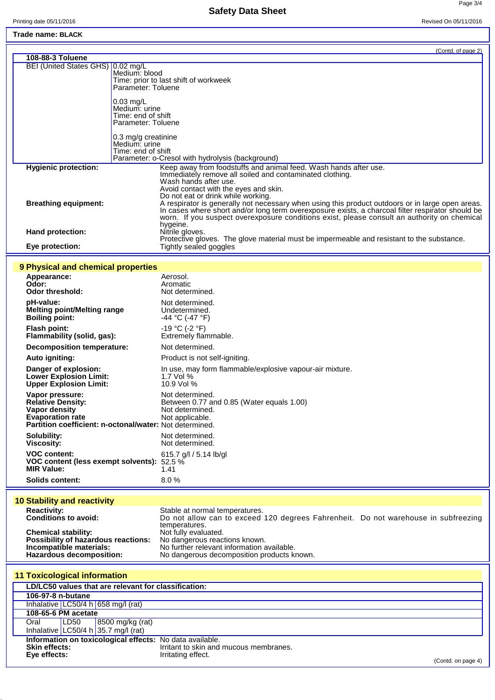**Safety Data Sheet**

Page 3/4

## **Trade name: BLACK**

|                                   | (Contd. of page 2)                                                                                                                                                                                                                                                                                               |
|-----------------------------------|------------------------------------------------------------------------------------------------------------------------------------------------------------------------------------------------------------------------------------------------------------------------------------------------------------------|
| 108-88-3 Toluene                  |                                                                                                                                                                                                                                                                                                                  |
| BEI (United States GHS) 0.02 mg/L | Medium: blood<br>Time: prior to last shift of workweek<br>Parameter: Toluene                                                                                                                                                                                                                                     |
|                                   | $0.03$ mg/L<br>Medium: urine<br>Time: end of shift<br>Parameter: Toluene                                                                                                                                                                                                                                         |
|                                   | $0.3 \,\mathrm{mg/g}$ creatinine<br>Medium: urine<br>Time: end of shift<br>Parameter: o-Cresol with hydrolysis (background)                                                                                                                                                                                      |
| <b>Hygienic protection:</b>       | Keep away from foodstuffs and animal feed. Wash hands after use.<br>Immediately remove all soiled and contaminated clothing.<br>Wash hands after use.<br>Avoid contact with the eyes and skin.<br>Do not eat or drink while working.                                                                             |
| <b>Breathing equipment:</b>       | A respirator is generally not necessary when using this product outdoors or in large open areas.<br>In cases where short and/or long term overexposure exists, a charcoal filter respirator should be<br>worn. If you suspect overexposure conditions exist, please consult an authority on chemical<br>hygeine. |
| Hand protection:                  | Nitrile gloves.                                                                                                                                                                                                                                                                                                  |
| Eye protection:                   | Protective gloves. The glove material must be impermeable and resistant to the substance.<br>Tightly sealed goggles                                                                                                                                                                                              |

#### **9 Physical and chemical properties**

| Appearance:<br>Odor:<br><b>Odor threshold:</b>                                                                                                     | Aerosol.<br>Aromatic<br>Not determined.                                                            |
|----------------------------------------------------------------------------------------------------------------------------------------------------|----------------------------------------------------------------------------------------------------|
| pH-value:                                                                                                                                          | Not determined.                                                                                    |
| Melting point/Melting range                                                                                                                        | Undetermined.                                                                                      |
| <b>Boiling point:</b>                                                                                                                              | -44 °C (-47 °F)                                                                                    |
| Flash point:                                                                                                                                       | -19 °C (-2 °F)                                                                                     |
| Flammability (solid, gas):                                                                                                                         | Extremely flammable.                                                                               |
| Decomposition temperature:                                                                                                                         | Not determined.                                                                                    |
| Auto igniting:                                                                                                                                     | Product is not self-igniting.                                                                      |
| Danger of explosion:                                                                                                                               | In use, may form flammable/explosive vapour-air mixture.                                           |
| <b>Lower Explosion Limit:</b>                                                                                                                      | 1.7 Vol $%$                                                                                        |
| <b>Upper Explosion Limit:</b>                                                                                                                      | 10.9 Vol %                                                                                         |
| Vapor pressure:<br><b>Relative Density:</b><br>Vapor density<br><b>Evaporation rate</b><br>Partition coefficient: n-octonal/water: Not determined. | Not determined.<br>Between 0.77 and 0.85 (Water equals 1.00)<br>Not determined.<br>Not applicable. |
| Solubility:                                                                                                                                        | Not determined.                                                                                    |
| Viscosity:                                                                                                                                         | Not determined.                                                                                    |
| <b>VOC content:</b>                                                                                                                                | 615.7 g/l / 5.14 lb/gl                                                                             |
| VOC content (less exempt solvents):                                                                                                                | 52.5 %                                                                                             |
| <b>MIR Value:</b>                                                                                                                                  | 1.41                                                                                               |
| <b>Solids content:</b>                                                                                                                             | 8.0%                                                                                               |

# **10 Stability and reactivity**

| <b>Reactivity:</b>                         | Stable at normal temperatures.                                                     |  |
|--------------------------------------------|------------------------------------------------------------------------------------|--|
| <b>Conditions to avoid:</b>                | Do not allow can to exceed 120 degrees Fahrenheit. Do not warehouse in subfreezing |  |
|                                            | temperatures.                                                                      |  |
| <b>Chemical stability:</b>                 | Not fully evaluated.                                                               |  |
| <b>Possibility of hazardous reactions:</b> | No dangerous reactions known.                                                      |  |
| Incompatible materials:                    | No further relevant information available.                                         |  |
| Hazardous decomposition:                   | No dangerous decomposition products known.                                         |  |

| <b>11 Toxicological information</b>                      |                     |                                        |                                        |                    |
|----------------------------------------------------------|---------------------|----------------------------------------|----------------------------------------|--------------------|
| LD/LC50 values that are relevant for classification:     |                     |                                        |                                        |                    |
| 106-97-8 n-butane                                        |                     |                                        |                                        |                    |
|                                                          |                     | Inhalative $LC50/4 h   658 mg/l$ (rat) |                                        |                    |
|                                                          | 108-65-6 PM acetate |                                        |                                        |                    |
| Oral                                                     | LD50                | 8500 mg/kg (rat)                       |                                        |                    |
|                                                          |                     | Inhalative LC50/4 h 35.7 mg/l (rat)    |                                        |                    |
| Information on toxicological effects: No data available. |                     |                                        |                                        |                    |
| <b>Skin effects:</b>                                     |                     |                                        | Irritant to skin and mucous membranes. |                    |
| Eye effects:                                             |                     |                                        | Irritating effect.                     | (Contd. on page 4) |